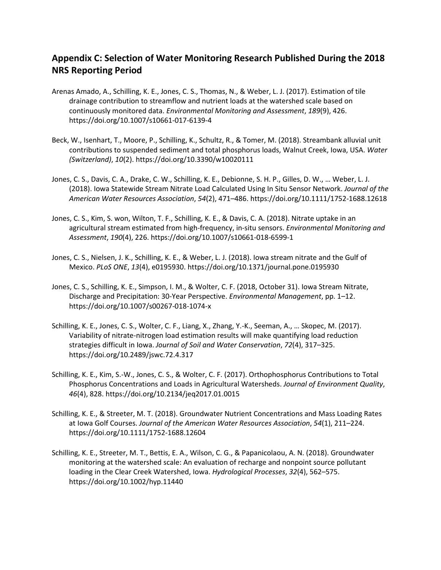## **Appendix C: Selection of Water Monitoring Research Published During the 2018 NRS Reporting Period**

- Arenas Amado, A., Schilling, K. E., Jones, C. S., Thomas, N., & Weber, L. J. (2017). Estimation of tile drainage contribution to streamflow and nutrient loads at the watershed scale based on continuously monitored data. *Environmental Monitoring and Assessment*, *189*(9), 426. https://doi.org/10.1007/s10661-017-6139-4
- Beck, W., Isenhart, T., Moore, P., Schilling, K., Schultz, R., & Tomer, M. (2018). Streambank alluvial unit contributions to suspended sediment and total phosphorus loads, Walnut Creek, Iowa, USA. *Water (Switzerland)*, *10*(2). https://doi.org/10.3390/w10020111
- Jones, C. S., Davis, C. A., Drake, C. W., Schilling, K. E., Debionne, S. H. P., Gilles, D. W., … Weber, L. J. (2018). Iowa Statewide Stream Nitrate Load Calculated Using In Situ Sensor Network. *Journal of the American Water Resources Association*, *54*(2), 471–486. https://doi.org/10.1111/1752-1688.12618
- Jones, C. S., Kim, S. won, Wilton, T. F., Schilling, K. E., & Davis, C. A. (2018). Nitrate uptake in an agricultural stream estimated from high-frequency, in-situ sensors. *Environmental Monitoring and Assessment*, *190*(4), 226. https://doi.org/10.1007/s10661-018-6599-1
- Jones, C. S., Nielsen, J. K., Schilling, K. E., & Weber, L. J. (2018). Iowa stream nitrate and the Gulf of Mexico. *PLoS ONE*, *13*(4), e0195930. https://doi.org/10.1371/journal.pone.0195930
- Jones, C. S., Schilling, K. E., Simpson, I. M., & Wolter, C. F. (2018, October 31). Iowa Stream Nitrate, Discharge and Precipitation: 30-Year Perspective. *Environmental Management*, pp. 1–12. https://doi.org/10.1007/s00267-018-1074-x
- Schilling, K. E., Jones, C. S., Wolter, C. F., Liang, X., Zhang, Y.-K., Seeman, A., … Skopec, M. (2017). Variability of nitrate-nitrogen load estimation results will make quantifying load reduction strategies difficult in Iowa. *Journal of Soil and Water Conservation*, *72*(4), 317–325. https://doi.org/10.2489/jswc.72.4.317
- Schilling, K. E., Kim, S.-W., Jones, C. S., & Wolter, C. F. (2017). Orthophosphorus Contributions to Total Phosphorus Concentrations and Loads in Agricultural Watersheds. *Journal of Environment Quality*, *46*(4), 828. https://doi.org/10.2134/jeq2017.01.0015
- Schilling, K. E., & Streeter, M. T. (2018). Groundwater Nutrient Concentrations and Mass Loading Rates at Iowa Golf Courses. *Journal of the American Water Resources Association*, *54*(1), 211–224. https://doi.org/10.1111/1752-1688.12604
- Schilling, K. E., Streeter, M. T., Bettis, E. A., Wilson, C. G., & Papanicolaou, A. N. (2018). Groundwater monitoring at the watershed scale: An evaluation of recharge and nonpoint source pollutant loading in the Clear Creek Watershed, Iowa. *Hydrological Processes*, *32*(4), 562–575. https://doi.org/10.1002/hyp.11440